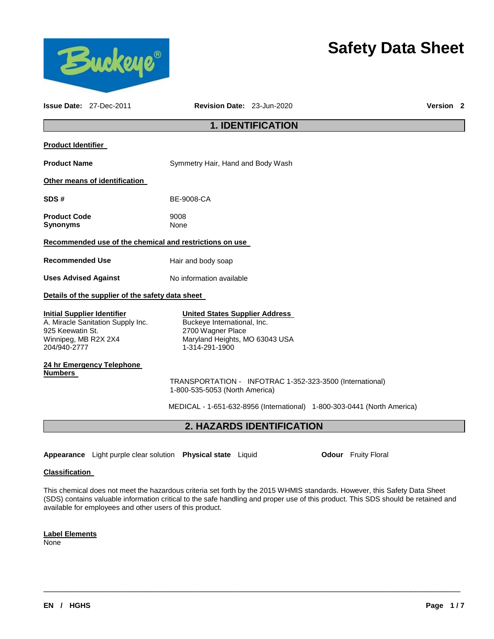

# **Safety Data Sheet**

|                                                                                                | <b>Issue Date: 27-Dec-2011</b>                   | Revision Date: 23-Jun-2020                                                                                                                    | <b>Version 2</b> |
|------------------------------------------------------------------------------------------------|--------------------------------------------------|-----------------------------------------------------------------------------------------------------------------------------------------------|------------------|
|                                                                                                |                                                  | <b>1. IDENTIFICATION</b>                                                                                                                      |                  |
| <b>Product Identifier</b>                                                                      |                                                  |                                                                                                                                               |                  |
| <b>Product Name</b>                                                                            |                                                  | Symmetry Hair, Hand and Body Wash                                                                                                             |                  |
|                                                                                                | Other means of identification                    |                                                                                                                                               |                  |
| SDS#                                                                                           |                                                  | BE-9008-CA                                                                                                                                    |                  |
| <b>Product Code</b><br><b>Synonyms</b>                                                         |                                                  | 9008<br>None                                                                                                                                  |                  |
|                                                                                                |                                                  | Recommended use of the chemical and restrictions on use                                                                                       |                  |
| <b>Recommended Use</b>                                                                         |                                                  | Hair and body soap                                                                                                                            |                  |
| <b>Uses Advised Against</b>                                                                    |                                                  | No information available                                                                                                                      |                  |
|                                                                                                | Details of the supplier of the safety data sheet |                                                                                                                                               |                  |
| <b>Initial Supplier Identifier</b><br>925 Keewatin St.<br>Winnipeg, MB R2X 2X4<br>204/940-2777 | A. Miracle Sanitation Supply Inc.                | <b>United States Supplier Address</b><br>Buckeye International, Inc.<br>2700 Wagner Place<br>Maryland Heights, MO 63043 USA<br>1-314-291-1900 |                  |
|                                                                                                | 24 hr Emergency Telephone                        |                                                                                                                                               |                  |
| <b>Numbers</b>                                                                                 |                                                  | TRANSPORTATION - INFOTRAC 1-352-323-3500 (International)<br>1-800-535-5053 (North America)                                                    |                  |
|                                                                                                |                                                  | MEDICAL - 1-651-632-8956 (International) 1-800-303-0441 (North America)                                                                       |                  |
|                                                                                                |                                                  | 2. HAZARDS IDENTIFICATION                                                                                                                     |                  |
|                                                                                                |                                                  |                                                                                                                                               |                  |
|                                                                                                |                                                  | Appearance Light purple clear solution Physical state Liquid<br><b>Odour</b> Fruity Floral                                                    |                  |
| <b>Classification</b>                                                                          |                                                  |                                                                                                                                               |                  |

This chemical does not meet the hazardous criteria set forth by the 2015 WHMIS standards. However, this Safety Data Sheet (SDS) contains valuable information critical to the safe handling and proper use of this product. This SDS should be retained and available for employees and other users of this product.

\_\_\_\_\_\_\_\_\_\_\_\_\_\_\_\_\_\_\_\_\_\_\_\_\_\_\_\_\_\_\_\_\_\_\_\_\_\_\_\_\_\_\_\_\_\_\_\_\_\_\_\_\_\_\_\_\_\_\_\_\_\_\_\_\_\_\_\_\_\_\_\_\_\_\_\_\_\_\_\_\_\_\_\_\_\_\_\_\_\_\_\_\_

**Label Elements**

None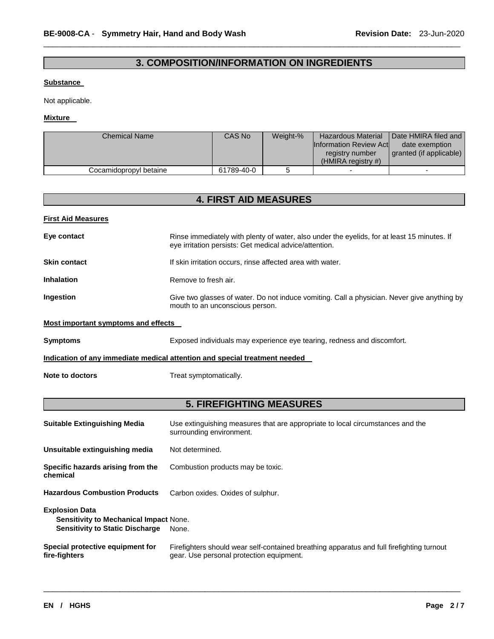# **3. COMPOSITION/INFORMATION ON INGREDIENTS**

\_\_\_\_\_\_\_\_\_\_\_\_\_\_\_\_\_\_\_\_\_\_\_\_\_\_\_\_\_\_\_\_\_\_\_\_\_\_\_\_\_\_\_\_\_\_\_\_\_\_\_\_\_\_\_\_\_\_\_\_\_\_\_\_\_\_\_\_\_\_\_\_\_\_\_\_\_\_\_\_\_\_\_\_\_\_\_\_\_\_\_\_\_

### **Substance**

Not applicable.

### **Mixture**

| <b>Chemical Name</b>   | CAS No     | Weight-% | <b>Hazardous Material</b><br><b>Information Review Actl</b><br>registry number<br>$(HMIRA$ registry #) | Date HMIRA filed and I<br>date exemption<br>granted (if applicable) |
|------------------------|------------|----------|--------------------------------------------------------------------------------------------------------|---------------------------------------------------------------------|
| Cocamidopropyl betaine | 61789-40-0 |          |                                                                                                        |                                                                     |

| <b>4. FIRST AID MEASURES</b>                                                                                                                                         |                                                                                                                                |  |  |  |  |
|----------------------------------------------------------------------------------------------------------------------------------------------------------------------|--------------------------------------------------------------------------------------------------------------------------------|--|--|--|--|
| <b>First Aid Measures</b>                                                                                                                                            |                                                                                                                                |  |  |  |  |
| Eye contact<br>Rinse immediately with plenty of water, also under the eyelids, for at least 15 minutes. If<br>eye irritation persists: Get medical advice/attention. |                                                                                                                                |  |  |  |  |
| <b>Skin contact</b>                                                                                                                                                  | If skin irritation occurs, rinse affected area with water.                                                                     |  |  |  |  |
| <b>Inhalation</b>                                                                                                                                                    | Remove to fresh air.                                                                                                           |  |  |  |  |
| Ingestion                                                                                                                                                            | Give two glasses of water. Do not induce vomiting. Call a physician. Never give anything by<br>mouth to an unconscious person. |  |  |  |  |
| <b>Most important symptoms and effects</b>                                                                                                                           |                                                                                                                                |  |  |  |  |
| <b>Symptoms</b>                                                                                                                                                      | Exposed individuals may experience eye tearing, redness and discomfort.                                                        |  |  |  |  |
|                                                                                                                                                                      | Indication of any immediate medical attention and special treatment needed                                                     |  |  |  |  |
| Note to doctors                                                                                                                                                      | Treat symptomatically.                                                                                                         |  |  |  |  |
|                                                                                                                                                                      | <b>5. FIREFIGHTING MEASURES</b>                                                                                                |  |  |  |  |
| <b>Suitable Extinguishing Media</b>                                                                                                                                  | Use extinguishing measures that are appropriate to local circumstances and the<br>surrounding environment.                     |  |  |  |  |
| Unsuitable extinguishing media                                                                                                                                       | Not determined.                                                                                                                |  |  |  |  |
| Specific hazards arising from the<br>chemical                                                                                                                        | Combustion products may be toxic.                                                                                              |  |  |  |  |
| <b>Hazardous Combustion Products</b>                                                                                                                                 | Carbon oxides. Oxides of sulphur.                                                                                              |  |  |  |  |
| <b>Explosion Data</b><br><b>Sensitivity to Mechanical Impact None.</b><br><b>Sensitivity to Static Discharge</b>                                                     | None.                                                                                                                          |  |  |  |  |

\_\_\_\_\_\_\_\_\_\_\_\_\_\_\_\_\_\_\_\_\_\_\_\_\_\_\_\_\_\_\_\_\_\_\_\_\_\_\_\_\_\_\_\_\_\_\_\_\_\_\_\_\_\_\_\_\_\_\_\_\_\_\_\_\_\_\_\_\_\_\_\_\_\_\_\_\_\_\_\_\_\_\_\_\_\_\_\_\_\_\_\_\_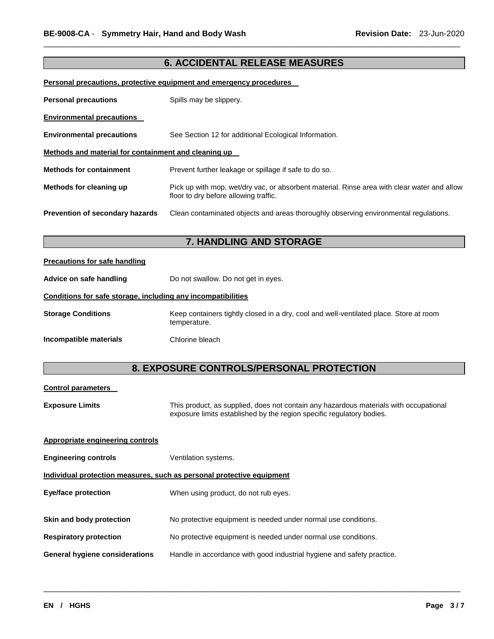# **6. ACCIDENTAL RELEASE MEASURES**

\_\_\_\_\_\_\_\_\_\_\_\_\_\_\_\_\_\_\_\_\_\_\_\_\_\_\_\_\_\_\_\_\_\_\_\_\_\_\_\_\_\_\_\_\_\_\_\_\_\_\_\_\_\_\_\_\_\_\_\_\_\_\_\_\_\_\_\_\_\_\_\_\_\_\_\_\_\_\_\_\_\_\_\_\_\_\_\_\_\_\_\_\_

### **Personal precautions, protective equipment and emergency procedures**

| <b>Personal precautions</b>                          | Spills may be slippery.                                                                                                              |
|------------------------------------------------------|--------------------------------------------------------------------------------------------------------------------------------------|
| <b>Environmental precautions</b>                     |                                                                                                                                      |
| <b>Environmental precautions</b>                     | See Section 12 for additional Ecological Information.                                                                                |
| Methods and material for containment and cleaning up |                                                                                                                                      |
| <b>Methods for containment</b>                       | Prevent further leakage or spillage if safe to do so.                                                                                |
| Methods for cleaning up                              | Pick up with mop, wet/dry vac, or absorbent material. Rinse area with clear water and allow<br>floor to dry before allowing traffic. |
| <b>Prevention of secondary hazards</b>               | Clean contaminated objects and areas thoroughly observing environmental regulations.                                                 |

# **7. HANDLING AND STORAGE**

### **Precautions for safe handling**

Advice on safe handling **Do not swallow.** Do not get in eyes.

### **Conditions for safe storage, including any incompatibilities**

| <b>Storage Conditions</b> | Keep containers tightly closed in a dry, cool and well-ventilated place. Store at room<br>temperature. |
|---------------------------|--------------------------------------------------------------------------------------------------------|
| Incompatible materials    | Chlorine bleach                                                                                        |

# **8. EXPOSURE CONTROLS/PERSONAL PROTECTION**

# **Control parameters Exposure Limits** This product, as supplied, does not contain any hazardous materials with occupational exposure limits established by the region specific regulatory bodies. **Appropriate engineering controls Engineering controls Ventilation systems. Individual protection measures, such as personal protective equipment Eye/face protection** When using product, do not rub eyes. **Skin and body protection No protective equipment is needed under normal use conditions. Respiratory protection** No protective equipment is needed under normal use conditions. **General hygiene considerations** Handle in accordance with good industrial hygiene and safety practice.

\_\_\_\_\_\_\_\_\_\_\_\_\_\_\_\_\_\_\_\_\_\_\_\_\_\_\_\_\_\_\_\_\_\_\_\_\_\_\_\_\_\_\_\_\_\_\_\_\_\_\_\_\_\_\_\_\_\_\_\_\_\_\_\_\_\_\_\_\_\_\_\_\_\_\_\_\_\_\_\_\_\_\_\_\_\_\_\_\_\_\_\_\_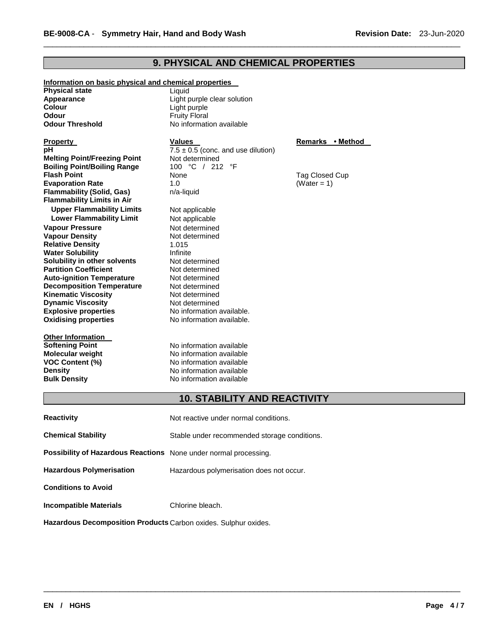# **9. PHYSICAL AND CHEMICAL PROPERTIES**

\_\_\_\_\_\_\_\_\_\_\_\_\_\_\_\_\_\_\_\_\_\_\_\_\_\_\_\_\_\_\_\_\_\_\_\_\_\_\_\_\_\_\_\_\_\_\_\_\_\_\_\_\_\_\_\_\_\_\_\_\_\_\_\_\_\_\_\_\_\_\_\_\_\_\_\_\_\_\_\_\_\_\_\_\_\_\_\_\_\_\_\_\_

| Information on basic physical and chemical properties |                                              |                  |  |  |  |
|-------------------------------------------------------|----------------------------------------------|------------------|--|--|--|
| <b>Physical state</b>                                 | Liauid                                       |                  |  |  |  |
| Appearance                                            | Light purple clear solution                  |                  |  |  |  |
| Colour                                                | Light purple                                 |                  |  |  |  |
| Odour                                                 | <b>Fruity Floral</b>                         |                  |  |  |  |
| <b>Odour Threshold</b>                                | No information available                     |                  |  |  |  |
|                                                       |                                              |                  |  |  |  |
| Property                                              | <b>Values</b>                                | Remarks • Method |  |  |  |
| рH                                                    | $7.5 \pm 0.5$ (conc. and use dilution)       |                  |  |  |  |
| <b>Melting Point/Freezing Point</b>                   | Not determined                               |                  |  |  |  |
| <b>Boiling Point/Boiling Range</b>                    | 100 °C / 212 °F                              |                  |  |  |  |
| <b>Flash Point</b>                                    | None                                         | Tag Closed Cup   |  |  |  |
| <b>Evaporation Rate</b>                               | 1.0                                          | (Water = $1$ )   |  |  |  |
| <b>Flammability (Solid, Gas)</b>                      | n/a-liquid                                   |                  |  |  |  |
| <b>Flammability Limits in Air</b>                     |                                              |                  |  |  |  |
| <b>Upper Flammability Limits</b>                      | Not applicable                               |                  |  |  |  |
| <b>Lower Flammability Limit</b>                       | Not applicable                               |                  |  |  |  |
| <b>Vapour Pressure</b>                                | Not determined                               |                  |  |  |  |
| <b>Vapour Density</b>                                 | Not determined                               |                  |  |  |  |
| <b>Relative Density</b>                               | 1.015                                        |                  |  |  |  |
| <b>Water Solubility</b>                               | Infinite                                     |                  |  |  |  |
| Solubility in other solvents                          | Not determined                               |                  |  |  |  |
| <b>Partition Coefficient</b>                          | Not determined                               |                  |  |  |  |
| <b>Auto-ignition Temperature</b>                      | Not determined                               |                  |  |  |  |
| <b>Decomposition Temperature</b>                      | Not determined                               |                  |  |  |  |
| <b>Kinematic Viscosity</b>                            | Not determined                               |                  |  |  |  |
| <b>Dynamic Viscosity</b>                              | Not determined                               |                  |  |  |  |
| <b>Explosive properties</b>                           | No information available.                    |                  |  |  |  |
| <b>Oxidising properties</b>                           | No information available.                    |                  |  |  |  |
|                                                       |                                              |                  |  |  |  |
| Other Information                                     |                                              |                  |  |  |  |
| <b>Softening Point</b>                                | No information available                     |                  |  |  |  |
| Molecular weight                                      | No information available                     |                  |  |  |  |
| <b>VOC Content (%)</b>                                | No information available                     |                  |  |  |  |
| <b>Density</b>                                        | No information available                     |                  |  |  |  |
| <b>Bulk Density</b>                                   | No information available                     |                  |  |  |  |
|                                                       |                                              |                  |  |  |  |
|                                                       | <b>10. STABILITY AND REACTIVITY</b>          |                  |  |  |  |
|                                                       |                                              |                  |  |  |  |
| <b>Reactivity</b>                                     | Not reactive under normal conditions.        |                  |  |  |  |
| <b>Chemical Stability</b>                             | Stable under recommended storage conditions. |                  |  |  |  |
|                                                       |                                              |                  |  |  |  |

\_\_\_\_\_\_\_\_\_\_\_\_\_\_\_\_\_\_\_\_\_\_\_\_\_\_\_\_\_\_\_\_\_\_\_\_\_\_\_\_\_\_\_\_\_\_\_\_\_\_\_\_\_\_\_\_\_\_\_\_\_\_\_\_\_\_\_\_\_\_\_\_\_\_\_\_\_\_\_\_\_\_\_\_\_\_\_\_\_\_\_\_\_

# **Possibility of Hazardous Reactions** None under normal processing.

**Hazardous Polymerisation** Hazardous polymerisation does not occur. **Conditions to Avoid** 

**Incompatible Materials Chlorine bleach.** 

**Hazardous Decomposition Products** Carbon oxides. Sulphur oxides.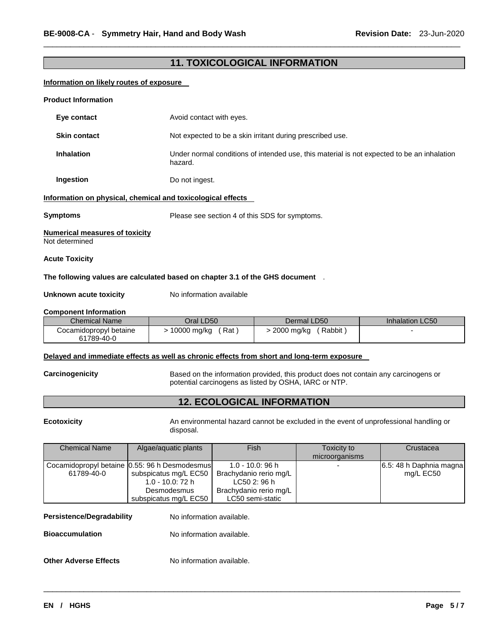# **11. TOXICOLOGICAL INFORMATION**

\_\_\_\_\_\_\_\_\_\_\_\_\_\_\_\_\_\_\_\_\_\_\_\_\_\_\_\_\_\_\_\_\_\_\_\_\_\_\_\_\_\_\_\_\_\_\_\_\_\_\_\_\_\_\_\_\_\_\_\_\_\_\_\_\_\_\_\_\_\_\_\_\_\_\_\_\_\_\_\_\_\_\_\_\_\_\_\_\_\_\_\_\_

### **Information on likely routes of exposure**

| <b>Product Information</b>                                                                                                                                      |                                                |                                                                                            |                        |  |  |
|-----------------------------------------------------------------------------------------------------------------------------------------------------------------|------------------------------------------------|--------------------------------------------------------------------------------------------|------------------------|--|--|
| Eye contact                                                                                                                                                     | Avoid contact with eyes.                       |                                                                                            |                        |  |  |
| <b>Skin contact</b>                                                                                                                                             |                                                | Not expected to be a skin irritant during prescribed use.                                  |                        |  |  |
| <b>Inhalation</b>                                                                                                                                               | hazard.                                        | Under normal conditions of intended use, this material is not expected to be an inhalation |                        |  |  |
| Ingestion                                                                                                                                                       | Do not ingest.                                 |                                                                                            |                        |  |  |
| Information on physical, chemical and toxicological effects                                                                                                     |                                                |                                                                                            |                        |  |  |
| <b>Symptoms</b>                                                                                                                                                 | Please see section 4 of this SDS for symptoms. |                                                                                            |                        |  |  |
| <b>Numerical measures of toxicity</b><br>Not determined                                                                                                         |                                                |                                                                                            |                        |  |  |
| <b>Acute Toxicity</b>                                                                                                                                           |                                                |                                                                                            |                        |  |  |
| The following values are calculated based on chapter 3.1 of the GHS document                                                                                    |                                                |                                                                                            |                        |  |  |
| Unknown acute toxicity                                                                                                                                          | No information available                       |                                                                                            |                        |  |  |
| <b>Component Information</b>                                                                                                                                    |                                                |                                                                                            |                        |  |  |
| <b>Chemical Name</b>                                                                                                                                            | Oral LD50                                      | Dermal LD50                                                                                | <b>Inhalation LC50</b> |  |  |
| Cocamidopropyl betaine<br>61789-40-0                                                                                                                            | > 10000 mg/kg (Rat)                            | $>$ 2000 mg/kg (Rabbit)                                                                    |                        |  |  |
| Delayed and immediate effects as well as chronic effects from short and long-term exposure                                                                      |                                                |                                                                                            |                        |  |  |
| Carcinogenicity<br>Based on the information provided, this product does not contain any carcinogens or<br>potential carcinogens as listed by OSHA, IARC or NTP. |                                                |                                                                                            |                        |  |  |
|                                                                                                                                                                 | <b>12. ECOLOGICAL INFORMATION</b>              |                                                                                            |                        |  |  |

**Ecotoxicity** An environmental hazard cannot be excluded in the event of unprofessional handling or disposal.

| <b>Chemical Name</b><br>Algae/aguatic plants |                                               | Fish                   | Toxicity to    | Crustacea               |
|----------------------------------------------|-----------------------------------------------|------------------------|----------------|-------------------------|
|                                              |                                               |                        | microorganisms |                         |
|                                              | Cocamidopropyl betaine 0.55: 96 h Desmodesmus | 1.0 - 10.0: 96 h       |                | 6.5: 48 h Daphnia magna |
| 61789-40-0                                   | subspicatus mg/L EC50                         | Brachydanio rerio mg/L |                | mg/L EC50               |
|                                              | 1.0 - 10.0: 72 h                              | LC50 2: 96 h           |                |                         |
|                                              | Desmodesmus                                   | Brachydanio rerio mg/L |                |                         |
|                                              | subspicatus mg/L EC50                         | LC50 semi-static       |                |                         |

\_\_\_\_\_\_\_\_\_\_\_\_\_\_\_\_\_\_\_\_\_\_\_\_\_\_\_\_\_\_\_\_\_\_\_\_\_\_\_\_\_\_\_\_\_\_\_\_\_\_\_\_\_\_\_\_\_\_\_\_\_\_\_\_\_\_\_\_\_\_\_\_\_\_\_\_\_\_\_\_\_\_\_\_\_\_\_\_\_\_\_\_\_

# **Persistence/Degradability** No information available.

**Bioaccumulation No information available.** 

# **Other Adverse Effects** No information available.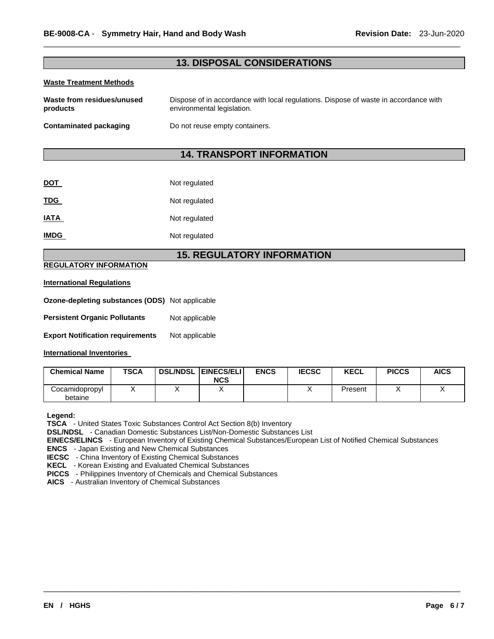# **13. DISPOSAL CONSIDERATIONS**

\_\_\_\_\_\_\_\_\_\_\_\_\_\_\_\_\_\_\_\_\_\_\_\_\_\_\_\_\_\_\_\_\_\_\_\_\_\_\_\_\_\_\_\_\_\_\_\_\_\_\_\_\_\_\_\_\_\_\_\_\_\_\_\_\_\_\_\_\_\_\_\_\_\_\_\_\_\_\_\_\_\_\_\_\_\_\_\_\_\_\_\_\_

### **Waste Treatment Methods**

| Waste from residues/unused_ | Dispose of in accordance with local regulations. Dispose of waste in accordance with |
|-----------------------------|--------------------------------------------------------------------------------------|
| products                    | environmental legislation.                                                           |
| Contaminated packaging      | Do not reuse empty containers.                                                       |

# **14. TRANSPORT INFORMATION**

| <b>DOT</b>  | Not regulated |
|-------------|---------------|
| <b>TDG</b>  | Not regulated |
| <b>IATA</b> | Not regulated |
| <b>IMDG</b> | Not regulated |

### **15. REGULATORY INFORMATION**

### **REGULATORY INFORMATION**

### **International Regulations**

| <b>Ozone-depleting substances (ODS)</b> Not applicable |  |
|--------------------------------------------------------|--|
|                                                        |  |

- **Persistent Organic Pollutants** Not applicable
- **Export Notification requirements** Not applicable

### **International Inventories**

| <b>Chemical Name</b>      | <b>TSCA</b> | <b>DSL/NDSL EINECS/ELI</b><br><b>NCS</b> | <b>ENCS</b> | <b>IECSC</b> | <b>KECL</b> | <b>PICCS</b> | <b>AICS</b> |
|---------------------------|-------------|------------------------------------------|-------------|--------------|-------------|--------------|-------------|
| Cocamidopropyl<br>betaine |             |                                          |             |              | Present     |              |             |

### **Legend:**

**TSCA** - United States Toxic Substances Control Act Section 8(b) Inventory

**DSL/NDSL** - Canadian Domestic Substances List/Non-Domestic Substances List

**EINECS/ELINCS** - European Inventory of Existing Chemical Substances/European List of Notified Chemical Substances

\_\_\_\_\_\_\_\_\_\_\_\_\_\_\_\_\_\_\_\_\_\_\_\_\_\_\_\_\_\_\_\_\_\_\_\_\_\_\_\_\_\_\_\_\_\_\_\_\_\_\_\_\_\_\_\_\_\_\_\_\_\_\_\_\_\_\_\_\_\_\_\_\_\_\_\_\_\_\_\_\_\_\_\_\_\_\_\_\_\_\_\_\_

**ENCS** - Japan Existing and New Chemical Substances

**IECSC** - China Inventory of Existing Chemical Substances

**KECL** - Korean Existing and Evaluated Chemical Substances

**PICCS** - Philippines Inventory of Chemicals and Chemical Substances

**AICS** - Australian Inventory of Chemical Substances